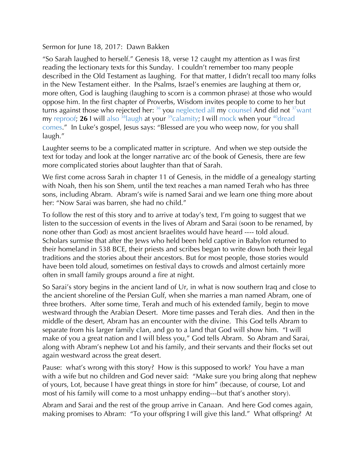## Sermon for June 18, 2017: Dawn Bakken

"So Sarah laughed to herself." Genesis 18, verse 12 caught my attention as I was first reading the lectionary texts for this Sunday. I couldn't remember too many people described in the Old Testament as laughing. For that matter, I didn't recall too many folks in the New Testament either. In the Psalms, Israel's enemies are laughing at them or, more often, God is laughing (laughing to scorn is a common phrase) at those who would oppose him. In the first chapter of Proverbs, Wisdom invites people to come to her but turns against those who rejected her:  $36$  you neglected all my counsel And did not  $37$  want my reproof; **26** I will also  $38$ laugh at your  $39$  calamity; I will mock when your  $40$  dread comes." In Luke's gospel, Jesus says: "Blessed are you who weep now, for you shall laugh."

Laughter seems to be a complicated matter in scripture. And when we step outside the text for today and look at the longer narrative arc of the book of Genesis, there are few more complicated stories about laughter than that of Sarah.

We first come across Sarah in chapter 11 of Genesis, in the middle of a genealogy starting with Noah, then his son Shem, until the text reaches a man named Terah who has three sons, including Abram. Abram's wife is named Sarai and we learn one thing more about her: "Now Sarai was barren, she had no child."

To follow the rest of this story and to arrive at today's text, I'm going to suggest that we listen to the succession of events in the lives of Abram and Sarai (soon to be renamed, by none other than God) as most ancient Israelites would have heard ---- told aloud. Scholars surmise that after the Jews who held been held captive in Babylon returned to their homeland in 538 BCE, their priests and scribes began to write down both their legal traditions and the stories about their ancestors. But for most people, those stories would have been told aloud, sometimes on festival days to crowds and almost certainly more often in small family groups around a fire at night.

So Sarai's story begins in the ancient land of Ur, in what is now southern Iraq and close to the ancient shoreline of the Persian Gulf, when she marries a man named Abram, one of three brothers. After some time, Terah and much of his extended family, begin to move westward through the Arabian Desert. More time passes and Terah dies. And then in the middle of the desert, Abram has an encounter with the divine. This God tells Abram to separate from his larger family clan, and go to a land that God will show him. "I will make of you a great nation and I will bless you," God tells Abram. So Abram and Sarai, along with Abram's nephew Lot and his family, and their servants and their flocks set out again westward across the great desert.

Pause: what's wrong with this story? How is this supposed to work? You have a man with a wife but no children and God never said: "Make sure you bring along that nephew of yours, Lot, because I have great things in store for him" (because, of course, Lot and most of his family will come to a most unhappy ending---but that's another story).

Abram and Sarai and the rest of the group arrive in Canaan. And here God comes again, making promises to Abram: "To your offspring I will give this land." What offspring? At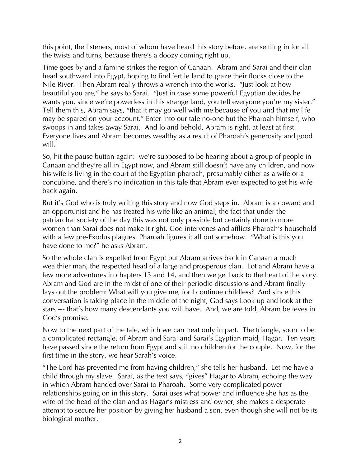this point, the listeners, most of whom have heard this story before, are settling in for all the twists and turns, because there's a doozy coming right up.

Time goes by and a famine strikes the region of Canaan. Abram and Sarai and their clan head southward into Egypt, hoping to find fertile land to graze their flocks close to the Nile River. Then Abram really throws a wrench into the works. "Just look at how beautiful you are," he says to Sarai. "Just in case some powerful Egyptian decides he wants you, since we're powerless in this strange land, you tell everyone you're my sister." Tell them this, Abram says, "that it may go well with me because of you and that my life may be spared on your account." Enter into our tale no-one but the Pharoah himself, who swoops in and takes away Sarai. And lo and behold, Abram is right, at least at first. Everyone lives and Abram becomes wealthy as a result of Pharoah's generosity and good will.

So, hit the pause button again: we're supposed to be hearing about a group of people in Canaan and they're all in Egypt now, and Abram still doesn't have any children, and now his wife is living in the court of the Egyptian pharoah, presumably either as a wife or a concubine, and there's no indication in this tale that Abram ever expected to get his wife back again.

But it's God who is truly writing this story and now God steps in. Abram is a coward and an opportunist and he has treated his wife like an animal; the fact that under the patriarchal society of the day this was not only possible but certainly done to more women than Sarai does not make it right. God intervenes and afflicts Pharoah's household with a few pre-Exodus plagues. Pharoah figures it all out somehow. "What is this you have done to me?" he asks Abram.

So the whole clan is expelled from Egypt but Abram arrives back in Canaan a much wealthier man, the respected head of a large and prosperous clan. Lot and Abram have a few more adventures in chapters 13 and 14, and then we get back to the heart of the story. Abram and God are in the midst of one of their periodic discussions and Abram finally lays out the problem: What will you give me, for I continue childless? And since this conversation is taking place in the middle of the night, God says Look up and look at the stars --- that's how many descendants you will have. And, we are told, Abram believes in God's promise.

Now to the next part of the tale, which we can treat only in part. The triangle, soon to be a complicated rectangle, of Abram and Sarai and Sarai's Egyptian maid, Hagar. Ten years have passed since the return from Egypt and still no children for the couple. Now, for the first time in the story, we hear Sarah's voice.

"The Lord has prevented me from having children," she tells her husband. Let me have a child through my slave. Sarai, as the text says, "gives" Hagar to Abram, echoing the way in which Abram handed over Sarai to Pharoah. Some very complicated power relationships going on in this story. Sarai uses what power and influence she has as the wife of the head of the clan and as Hagar's mistress and owner; she makes a desperate attempt to secure her position by giving her husband a son, even though she will not be its biological mother.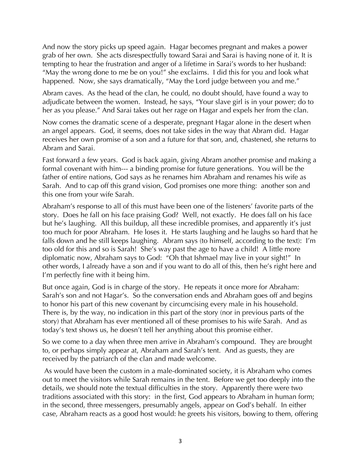And now the story picks up speed again. Hagar becomes pregnant and makes a power grab of her own. She acts disrespectfully toward Sarai and Sarai is having none of it. It is tempting to hear the frustration and anger of a lifetime in Sarai's words to her husband: "May the wrong done to me be on you!" she exclaims. I did this for you and look what happened. Now, she says dramatically, "May the Lord judge between you and me."

Abram caves. As the head of the clan, he could, no doubt should, have found a way to adjudicate between the women. Instead, he says, "Your slave girl is in your power; do to her as you please." And Sarai takes out her rage on Hagar and expels her from the clan.

Now comes the dramatic scene of a desperate, pregnant Hagar alone in the desert when an angel appears. God, it seems, does not take sides in the way that Abram did. Hagar receives her own promise of a son and a future for that son, and, chastened, she returns to Abram and Sarai.

Fast forward a few years. God is back again, giving Abram another promise and making a formal covenant with him--- a binding promise for future generations. You will be the father of entire nations, God says as he renames him Abraham and renames his wife as Sarah. And to cap off this grand vision, God promises one more thing: another son and this one from your wife Sarah.

Abraham's response to all of this must have been one of the listeners' favorite parts of the story. Does he fall on his face praising God? Well, not exactly. He does fall on his face but he's laughing. All this buildup, all these incredible promises, and apparently it's just too much for poor Abraham. He loses it. He starts laughing and he laughs so hard that he falls down and he still keeps laughing. Abram says (to himself, according to the text): I'm too old for this and so is Sarah! She's way past the age to have a child! A little more diplomatic now, Abraham says to God: "Oh that Ishmael may live in your sight!" In other words, I already have a son and if you want to do all of this, then he's right here and I'm perfectly fine with it being him.

But once again, God is in charge of the story. He repeats it once more for Abraham: Sarah's son and not Hagar's. So the conversation ends and Abraham goes off and begins to honor his part of this new covenant by circumcising every male in his household. There is, by the way, no indication in this part of the story (nor in previous parts of the story) that Abraham has ever mentioned all of these promises to his wife Sarah. And as today's text shows us, he doesn't tell her anything about this promise either.

So we come to a day when three men arrive in Abraham's compound. They are brought to, or perhaps simply appear at, Abraham and Sarah's tent. And as guests, they are received by the patriarch of the clan and made welcome.

As would have been the custom in a male-dominated society, it is Abraham who comes out to meet the visitors while Sarah remains in the tent. Before we get too deeply into the details, we should note the textual difficulties in the story. Apparently there were two traditions associated with this story: in the first, God appears to Abraham in human form; in the second, three messengers, presumably angels, appear on God's behalf. In either case, Abraham reacts as a good host would: he greets his visitors, bowing to them, offering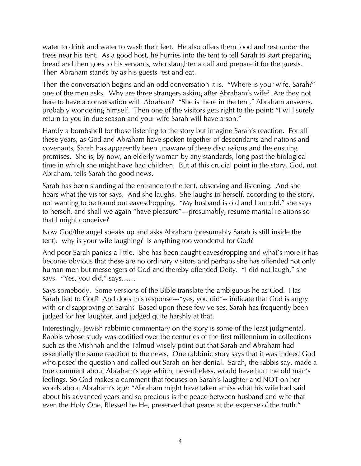water to drink and water to wash their feet. He also offers them food and rest under the trees near his tent. As a good host, he hurries into the tent to tell Sarah to start preparing bread and then goes to his servants, who slaughter a calf and prepare it for the guests. Then Abraham stands by as his guests rest and eat.

Then the conversation begins and an odd conversation it is. "Where is your wife, Sarah?" one of the men asks. Why are three strangers asking after Abraham's wife? Are they not here to have a conversation with Abraham? "She is there in the tent," Abraham answers, probably wondering himself. Then one of the visitors gets right to the point: "I will surely return to you in due season and your wife Sarah will have a son."

Hardly a bombshell for those listening to the story but imagine Sarah's reaction. For all these years, as God and Abraham have spoken together of descendants and nations and covenants, Sarah has apparently been unaware of these discussions and the ensuing promises. She is, by now, an elderly woman by any standards, long past the biological time in which she might have had children. But at this crucial point in the story, God, not Abraham, tells Sarah the good news.

Sarah has been standing at the entrance to the tent, observing and listening. And she hears what the visitor says. And she laughs. She laughs to herself, according to the story, not wanting to be found out eavesdropping. "My husband is old and I am old," she says to herself, and shall we again "have pleasure"---presumably, resume marital relations so that I might conceive?

Now God/the angel speaks up and asks Abraham (presumably Sarah is still inside the tent): why is your wife laughing? Is anything too wonderful for God?

And poor Sarah panics a little. She has been caught eavesdropping and what's more it has become obvious that these are no ordinary visitors and perhaps she has offended not only human men but messengers of God and thereby offended Deity. "I did not laugh," she says. "Yes, you did," says……

Says somebody. Some versions of the Bible translate the ambiguous he as God. Has Sarah lied to God? And does this response---"yes, you did"-- indicate that God is angry with or disapproving of Sarah? Based upon these few verses, Sarah has frequently been judged for her laughter, and judged quite harshly at that.

Interestingly, Jewish rabbinic commentary on the story is some of the least judgmental. Rabbis whose study was codified over the centuries of the first millennium in collections such as the Mishnah and the Talmud wisely point out that Sarah and Abraham had essentially the same reaction to the news. One rabbinic story says that it was indeed God who posed the question and called out Sarah on her denial. Sarah, the rabbis say, made a true comment about Abraham's age which, nevertheless, would have hurt the old man's feelings. So God makes a comment that focuses on Sarah's laughter and NOT on her words about Abraham's age: "Abraham might have taken amiss what his wife had said about his advanced years and so precious is the peace between husband and wife that even the Holy One, Blessed be He, preserved that peace at the expense of the truth."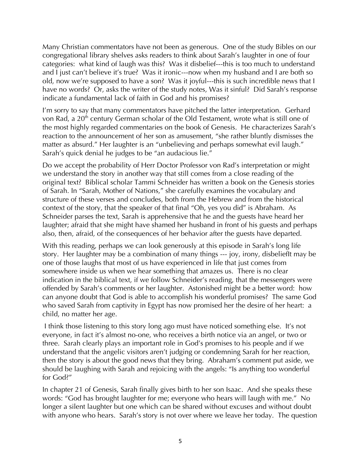Many Christian commentators have not been as generous. One of the study Bibles on our congregational library shelves asks readers to think about Sarah's laughter in one of four categories: what kind of laugh was this? Was it disbelief---this is too much to understand and I just can't believe it's true? Was it ironic---now when my husband and I are both so old, now we're supposed to have a son? Was it joyful---this is such incredible news that I have no words? Or, asks the writer of the study notes, Was it sinful? Did Sarah's response indicate a fundamental lack of faith in God and his promises?

I'm sorry to say that many commentators have pitched the latter interpretation. Gerhard von Rad, a 20<sup>th</sup> century German scholar of the Old Testament, wrote what is still one of the most highly regarded commentaries on the book of Genesis. He characterizes Sarah's reaction to the announcement of her son as amusement, "she rather bluntly dismisses the matter as absurd." Her laughter is an "unbelieving and perhaps somewhat evil laugh." Sarah's quick denial he judges to be "an audacious lie."

Do we accept the probability of Herr Doctor Professor von Rad's interpretation or might we understand the story in another way that still comes from a close reading of the original text? Biblical scholar Tammi Schneider has written a book on the Genesis stories of Sarah. In "Sarah, Mother of Nations," she carefully examines the vocabulary and structure of these verses and concludes, both from the Hebrew and from the historical context of the story, that the speaker of that final "Oh, yes you did" is Abraham. As Schneider parses the text, Sarah is apprehensive that he and the guests have heard her laughter; afraid that she might have shamed her husband in front of his guests and perhaps also, then, afraid, of the consequences of her behavior after the guests have departed.

With this reading, perhaps we can look generously at this episode in Sarah's long life story. Her laughter may be a combination of many things --- joy, irony, disbeliefIt may be one of those laughs that most of us have experienced in life that just comes from somewhere inside us when we hear something that amazes us. There is no clear indication in the biblical text, if we follow Schneider's reading, that the messengers were offended by Sarah's comments or her laughter. Astonished might be a better word: how can anyone doubt that God is able to accomplish his wonderful promises? The same God who saved Sarah from captivity in Egypt has now promised her the desire of her heart: a child, no matter her age.

I think those listening to this story long ago must have noticed something else. It's not everyone, in fact it's almost no-one, who receives a birth notice via an angel, or two or three. Sarah clearly plays an important role in God's promises to his people and if we understand that the angelic visitors aren't judging or condemning Sarah for her reaction, then the story is about the good news that they bring. Abraham's comment put aside, we should be laughing with Sarah and rejoicing with the angels: "Is anything too wonderful for God?"

In chapter 21 of Genesis, Sarah finally gives birth to her son Isaac. And she speaks these words: "God has brought laughter for me; everyone who hears will laugh with me." No longer a silent laughter but one which can be shared without excuses and without doubt with anyone who hears. Sarah's story is not over where we leave her today. The question